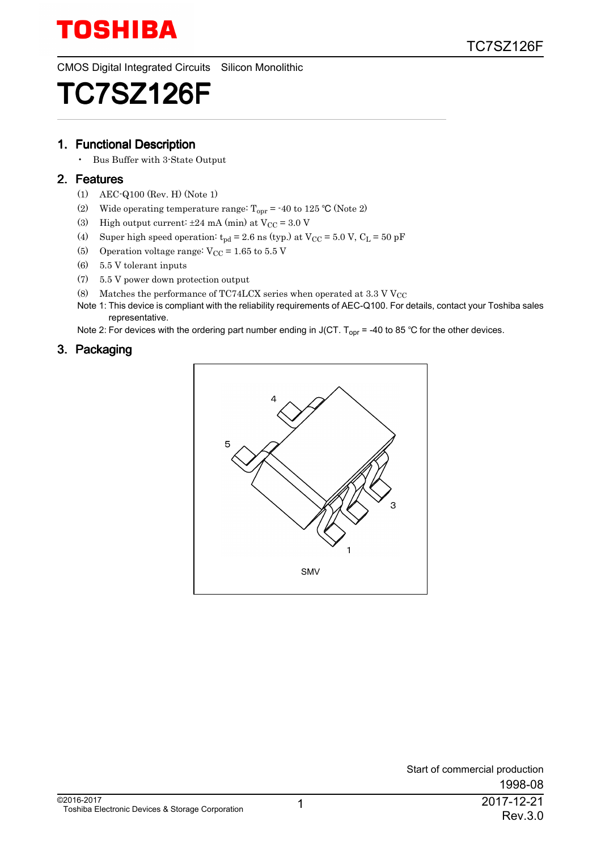

CMOS Digital Integrated Circuits Silicon Monolithic

# TC7SZ126F

#### 1. Functional Description

• Bus Buffer with 3-State Output

#### 2. Features

- (1) AEC-Q100 (Rev. H) (Note 1)
- (2) Wide operating temperature range:  $T_{\text{opr}} = -40$  to 125 °C (Note 2)
- (3) High output current:  $\pm 24$  mA (min) at  $V_{\rm CC} = 3.0$  V
- (4) Super high speed operation:  $t_{pd} = 2.6$  ns (typ.) at  $V_{CC} = 5.0$  V,  $C_L = 50$  pF
- (5) Operation voltage range:  $V_{CC} = 1.65$  to  $5.5$  V
- (6) 5.5 V tolerant inputs
- (7) 5.5 V power down protection output
- (8) Matches the performance of TC74LCX series when operated at 3.3 V V<sub>CC</sub>
- Note 1: This device is compliant with the reliability requirements of AEC-Q100. For details, contact your Toshiba sales representative.

Note 2: For devices with the ordering part number ending in J(CT. T<sub>opr</sub> = -40 to 85 °C for the other devices.

#### 3. Packaging

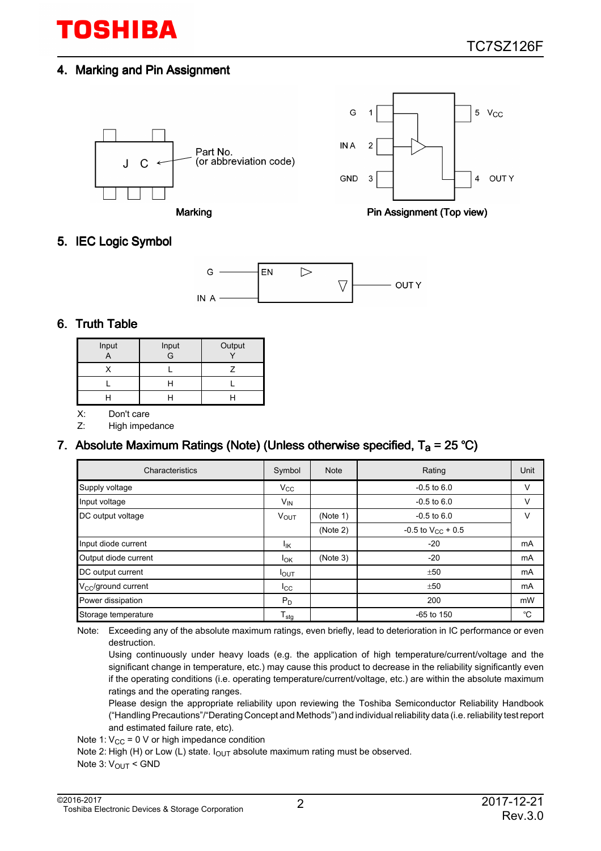#### 4. Marking and Pin Assignment







Marking **Pin Assignment (Top view)** 

## 5. IEC Logic Symbol



#### 6. Truth Table

| Input | Input<br>$\overline{G}$ | Output |
|-------|-------------------------|--------|
|       |                         |        |
|       |                         |        |
|       |                         |        |

X: Don't care

Z: High impedance

## 7. Absolute Maximum Ratings (Note) (Unless otherwise specified,  $T_a$  = 25 °C)

| Characteristics              | Symbol                 | <b>Note</b> | Rating                   | Unit |
|------------------------------|------------------------|-------------|--------------------------|------|
| Supply voltage               | $V_{\rm CC}$           |             | $-0.5$ to $6.0$          | v    |
| Input voltage                | $V_{IN}$               |             | $-0.5$ to $6.0$          | V    |
| DC output voltage            | <b>V<sub>OUT</sub></b> | (Note 1)    | $-0.5$ to $6.0$          | v    |
|                              |                        | (Note 2)    | $-0.5$ to $V_{CC}$ + 0.5 |      |
| Input diode current          | ΙK                     |             | $-20$                    | mA   |
| Output diode current         | $I_{OK}$               | (Note 3)    | $-20$                    | mA   |
| DC output current            | $I_{\text{OUT}}$       |             | ±50                      | mA   |
| $V_{\rm CC}$ /ground current | $_{\rm lcc}$           |             | ±50                      | mA   |
| Power dissipation            | $P_D$                  |             | 200                      | mW   |
| Storage temperature          | $T_{\text{stg}}$       |             | $-65$ to 150             | °C   |

Note: Exceeding any of the absolute maximum ratings, even briefly, lead to deterioration in IC performance or even destruction.

Using continuously under heavy loads (e.g. the application of high temperature/current/voltage and the significant change in temperature, etc.) may cause this product to decrease in the reliability significantly even if the operating conditions (i.e. operating temperature/current/voltage, etc.) are within the absolute maximum ratings and the operating ranges.

Please design the appropriate reliability upon reviewing the Toshiba Semiconductor Reliability Handbook ("Handling Precautions"/"Derating Concept and Methods") and individual reliability data (i.e. reliability test report and estimated failure rate, etc).

Note 1:  $V_{CC}$  = 0 V or high impedance condition

Note 2: High (H) or Low (L) state.  $I_{\text{OUT}}$  absolute maximum rating must be observed.

Note 3: V<sub>OUT</sub> < GND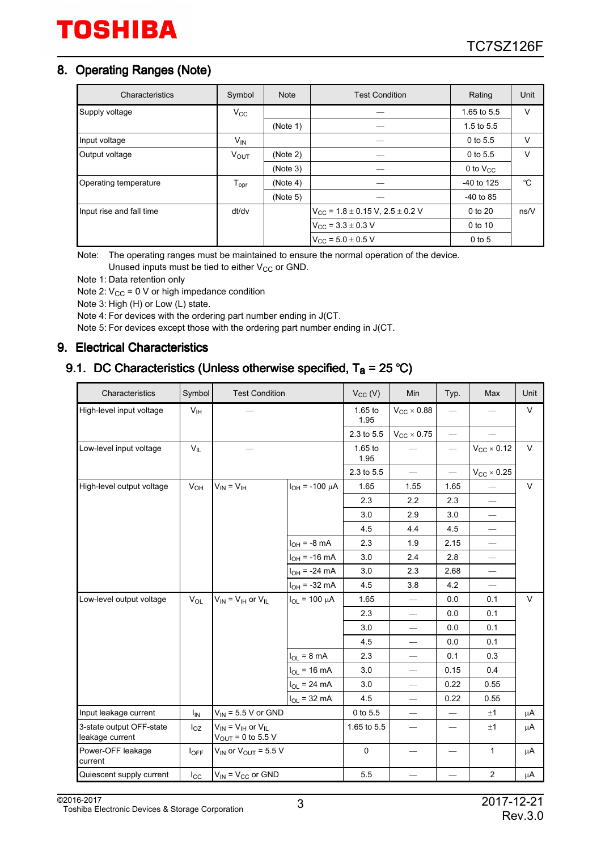### 8. Operating Ranges (Note)

| Characteristics          | Symbol                 | <b>Note</b> | <b>Test Condition</b>                        | Rating         | Unit   |
|--------------------------|------------------------|-------------|----------------------------------------------|----------------|--------|
| Supply voltage           | $V_{\rm CC}$           |             |                                              | 1.65 to 5.5    | v      |
|                          |                        | (Note 1)    |                                              | $1.5$ to $5.5$ |        |
| Input voltage            | $V_{IN}$               |             |                                              | 0 to 5.5       | $\vee$ |
| Output voltage           | <b>V<sub>OUT</sub></b> | (Note 2)    |                                              | 0 to 5.5       | $\vee$ |
|                          |                        | (Note 3)    |                                              | 0 to $V_{CC}$  |        |
| Operating temperature    | $T_{\text{opr}}$       | (Note 4)    |                                              | $-40$ to 125   | °C     |
|                          |                        | (Note 5)    |                                              | $-40$ to 85    |        |
| Input rise and fall time | dt/dv                  |             | $V_{CC}$ = 1.8 $\pm$ 0.15 V, 2.5 $\pm$ 0.2 V | 0 to 20        | ns/V   |
|                          |                        |             | $V_{CC}$ = 3.3 $\pm$ 0.3 V                   | 0 to 10        |        |
|                          |                        |             | $V_{CC}$ = 5.0 $\pm$ 0.5 V                   | $0$ to 5       |        |

Note: The operating ranges must be maintained to ensure the normal operation of the device. Unused inputs must be tied to either  $V_{CC}$  or GND.

Note 1: Data retention only

Note 2:  $V_{CC}$  = 0 V or high impedance condition

Note 3: High (H) or Low (L) state.

Note 4: For devices with the ordering part number ending in J(CT.

Note 5: For devices except those with the ordering part number ending in J(CT.

#### 9. Electrical Characteristics

## 9.1. DC Characteristics (Unless otherwise specified,  $T_a = 25 °C$ )

| Characteristics                             | Symbol           | <b>Test Condition</b>                                          |                        | $V_{CC}$ (V)      | Min                             | Typ.                     | Max                    | Unit    |
|---------------------------------------------|------------------|----------------------------------------------------------------|------------------------|-------------------|---------------------------------|--------------------------|------------------------|---------|
| High-level input voltage                    | V <sub>IH</sub>  |                                                                |                        | 1.65 to<br>1.95   | $V_{CC}$ $\times$ 0.88          |                          |                        | $\vee$  |
|                                             |                  |                                                                |                        | 2.3 to 5.5        | $V_{CC}$ $\times$ 0.75          |                          |                        |         |
| Low-level input voltage                     | $V_{IL}$         |                                                                |                        | $1.65$ to<br>1.95 |                                 | $\qquad \qquad -$        | $V_{CC}$ $\times$ 0.12 | $\vee$  |
|                                             |                  |                                                                |                        | 2.3 to 5.5        | $\overline{\phantom{0}}$        | $\overline{\phantom{0}}$ | $V_{CC}$ $\times$ 0.25 |         |
| High-level output voltage                   | $V_{OH}$         | $V_{IN} = V_{IH}$                                              | $I_{OH}$ = -100 µA     | 1.65              | 1.55                            | 1.65                     |                        | $\vee$  |
|                                             |                  |                                                                |                        | 2.3               | 2.2                             | 2.3                      |                        |         |
|                                             |                  |                                                                |                        | 3.0               | 2.9                             | 3.0                      | $\qquad \qquad$        |         |
|                                             |                  |                                                                |                        | 4.5               | 4.4                             | 4.5                      |                        |         |
|                                             |                  |                                                                | $I_{OH}$ = -8 mA       | 2.3               | 1.9                             | 2.15                     |                        |         |
|                                             |                  |                                                                | $I_{OH}$ = -16 mA      | 3.0               | 2.4                             | 2.8                      |                        |         |
|                                             |                  |                                                                | $I_{OH}$ = -24 mA      | 3.0               | 2.3                             | 2.68                     |                        |         |
|                                             |                  |                                                                | $I_{OH} = -32$ mA      | 4.5               | 3.8                             | 4.2                      | $\qquad \qquad$        |         |
| Low-level output voltage                    | $V_{OL}$         | $V_{IN}$ = $V_{IH}$ or $V_{IL}$                                | $I_{OL}$ = 100 $\mu$ A | 1.65              | $\overbrace{\qquad \qquad }^{}$ | 0.0                      | 0.1                    | $\vee$  |
|                                             |                  |                                                                |                        | 2.3               | $\overline{\phantom{0}}$        | 0.0                      | 0.1                    |         |
|                                             |                  |                                                                |                        | 3.0               | $\overline{\phantom{0}}$        | 0.0                      | 0.1                    |         |
|                                             |                  |                                                                |                        | 4.5               |                                 | 0.0                      | 0.1                    |         |
|                                             |                  |                                                                | $I_{OL}$ = 8 mA        | 2.3               |                                 | 0.1                      | 0.3                    |         |
|                                             |                  |                                                                | $I_{OL}$ = 16 mA       | 3.0               | $\overline{\phantom{0}}$        | 0.15                     | 0.4                    |         |
|                                             |                  |                                                                | $I_{OL}$ = 24 mA       | 3.0               | $\overline{\phantom{0}}$        | 0.22                     | 0.55                   |         |
|                                             |                  |                                                                | $I_{OL}$ = 32 mA       | 4.5               | $\overbrace{\qquad \qquad }^{}$ | 0.22                     | 0.55                   |         |
| Input leakage current                       | I <sub>IN</sub>  | $V_{\text{IN}}$ = 5.5 V or GND                                 |                        | 0 to 5.5          | $\qquad \qquad \longleftarrow$  |                          | ±1                     | μA      |
| 3-state output OFF-state<br>leakage current | $I_{OZ}$         | $V_{IN} = V_{IH}$ or $V_{IL}$<br>$V_{\text{OUT}} = 0$ to 5.5 V |                        | 1.65 to 5.5       |                                 |                          | ±1                     | $\mu$ A |
| Power-OFF leakage<br>current                | $I_{\text{OFF}}$ | $V_{IN}$ or $V_{OUT}$ = 5.5 V                                  |                        | $\mathbf 0$       | $\qquad \qquad -$               | —                        | $\mathbf{1}$           | μA      |
| Quiescent supply current                    | $I_{\rm CC}$     | $V_{IN}$ = $V_{CC}$ or GND                                     |                        | 5.5               |                                 |                          | $\overline{2}$         | μA      |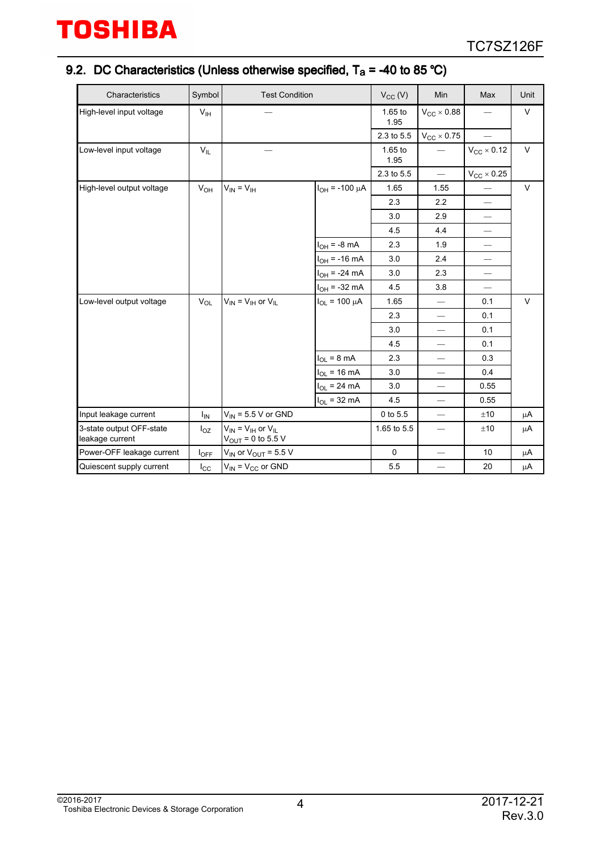## 9.2. DC Characteristics (Unless otherwise specified,  $T_a$  = -40 to 85 °C)

| Characteristics                             | Symbol          | <b>Test Condition</b>                                     |                           | $V_{CC}$ (V)      | Min                           | Max                            | Unit   |
|---------------------------------------------|-----------------|-----------------------------------------------------------|---------------------------|-------------------|-------------------------------|--------------------------------|--------|
| High-level input voltage                    | $V_{\text{IH}}$ |                                                           |                           | $1.65$ to<br>1.95 | $V_{CC}$ $\times$ 0.88        |                                | V      |
|                                             |                 |                                                           |                           | 2.3 to 5.5        | $V_{CC}$ $\times$ 0.75        |                                |        |
| Low-level input voltage                     | $V_{IL}$        |                                                           |                           | $1.65$ to<br>1.95 |                               | $V_{CC}$ $\times$ 0.12         | $\vee$ |
|                                             |                 |                                                           |                           | 2.3 to 5.5        | $\overline{\phantom{0}}$      | $V_{CC}$ $\times$ 0.25         |        |
| High-level output voltage                   | $V_{OH}$        | $V_{IN} = V_{IH}$                                         | $I_{OH}$ = -100 µA        | 1.65              | 1.55                          |                                | $\vee$ |
|                                             |                 |                                                           |                           | 2.3               | 2.2                           |                                |        |
|                                             |                 |                                                           |                           | 3.0               | 2.9                           | $\overbrace{\phantom{12333}}$  |        |
|                                             |                 |                                                           |                           | 4.5               | 4.4                           | $\qquad \qquad \longleftarrow$ |        |
|                                             |                 |                                                           | $I_{OH}$ = -8 mA          | 2.3               | 1.9                           | $\overline{\phantom{0}}$       |        |
|                                             |                 |                                                           | $I_{OH}$ = -16 mA         | 3.0               | 2.4                           | $\overbrace{\phantom{12333}}$  |        |
|                                             |                 |                                                           | $I_{OH}$ = -24 mA         | 3.0               | 2.3                           | $\overbrace{\phantom{12333}}$  |        |
|                                             |                 |                                                           | $I_{OH} = -32 \text{ mA}$ | 4.5               | 3.8                           |                                |        |
| Low-level output voltage                    | $V_{OL}$        | $V_{IN}$ = $V_{IH}$ or $V_{IL}$                           | $I_{OL}$ = 100 $\mu$ A    | 1.65              | $\overline{\phantom{0}}$      | 0.1                            | $\vee$ |
|                                             |                 |                                                           |                           | 2.3               | $\overbrace{\phantom{12333}}$ | 0.1                            |        |
|                                             |                 |                                                           |                           | 3.0               |                               | 0.1                            |        |
|                                             |                 |                                                           |                           | 4.5               | $\overline{\phantom{0}}$      | 0.1                            |        |
|                                             |                 |                                                           | $I_{OL}$ = 8 mA           | 2.3               |                               | 0.3                            |        |
|                                             |                 |                                                           | $I_{OL}$ = 16 mA          | 3.0               |                               | 0.4                            |        |
|                                             |                 |                                                           | $I_{OL}$ = 24 mA          | 3.0               | $\overline{\phantom{0}}$      | 0.55                           |        |
|                                             |                 |                                                           | $I_{OL}$ = 32 mA          | 4.5               | $\overline{\phantom{0}}$      | 0.55                           |        |
| Input leakage current                       | ΙM              | $V_{IN}$ = 5.5 V or GND                                   |                           | $0$ to $5.5$      | $\overline{\phantom{m}}$      | ±10                            | μA     |
| 3-state output OFF-state<br>leakage current | $I_{OZ}$        | $V_{IN}$ = $V_{IH}$ or $V_{II}$<br>$V_{OUT} = 0$ to 5.5 V |                           | 1.65 to 5.5       | $\qquad \qquad -$             | ±10                            | μA     |
| Power-OFF leakage current                   | $I_{OFF}$       | $V_{IN}$ or $V_{OUT}$ = 5.5 V                             |                           | $\mathbf 0$       | -                             | 10                             | μA     |
| Quiescent supply current                    | $I_{\rm CC}$    | $V_{IN} = V_{CC}$ or GND                                  |                           | 5.5               |                               | 20                             | μA     |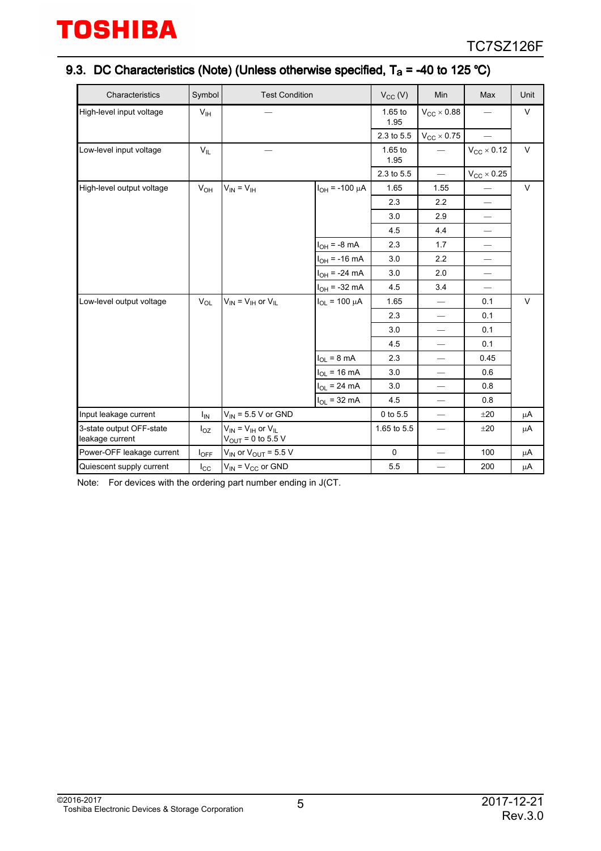## 9.3. DC Characteristics (Note) (Unless otherwise specified,  $T_a$  = -40 to 125 °C)

| Characteristics                             | Symbol           | <b>Test Condition</b>                                     |                           | $V_{CC} (V)$      | Min                             | Max                             | Unit   |
|---------------------------------------------|------------------|-----------------------------------------------------------|---------------------------|-------------------|---------------------------------|---------------------------------|--------|
| High-level input voltage                    | V <sub>IH</sub>  |                                                           |                           | $1.65$ to<br>1.95 | $V_{CC}$ $\times$ 0.88          |                                 | V      |
|                                             |                  |                                                           |                           | 2.3 to 5.5        | $V_{CC}$ $\times$ 0.75          |                                 |        |
| Low-level input voltage                     | $V_{IL}$         |                                                           |                           | $1.65$ to<br>1.95 |                                 | $V_{CC}$ $\times$ 0.12          | $\vee$ |
|                                             |                  |                                                           |                           | 2.3 to 5.5        |                                 | $V_{\text{CC}}\times 0.25$      |        |
| High-level output voltage                   | $V_{OH}$         | $V_{IN} = V_{IH}$                                         | $I_{OH}$ = -100 µA        | 1.65              | 1.55                            |                                 | $\vee$ |
|                                             |                  |                                                           |                           | 2.3               | 2.2                             |                                 |        |
|                                             |                  |                                                           |                           | 3.0               | 2.9                             | $\overbrace{\qquad \qquad }^{}$ |        |
|                                             |                  |                                                           |                           | 4.5               | 4.4                             | $\qquad \qquad \longleftarrow$  |        |
|                                             |                  |                                                           | $I_{OH}$ = -8 mA          | 2.3               | 1.7                             |                                 |        |
|                                             |                  |                                                           | $I_{OH}$ = -16 mA         | 3.0               | 2.2                             | $\qquad \qquad \longleftarrow$  |        |
|                                             |                  |                                                           | $I_{OH}$ = -24 mA         | 3.0               | 2.0                             | $\qquad \qquad \longleftarrow$  |        |
|                                             |                  |                                                           | $I_{OH} = -32 \text{ mA}$ | 4.5               | 3.4                             |                                 |        |
| Low-level output voltage                    | $V_{OL}$         | $V_{IN} = V_{IH}$ or $V_{IL}$                             | $I_{OL}$ = 100 $\mu$ A    | 1.65              |                                 | 0.1                             | $\vee$ |
|                                             |                  |                                                           |                           | 2.3               | $\overbrace{\qquad \qquad }^{}$ | 0.1                             |        |
|                                             |                  |                                                           |                           | 3.0               |                                 | 0.1                             |        |
|                                             |                  |                                                           |                           | 4.5               | $\overline{\phantom{0}}$        | 0.1                             |        |
|                                             |                  |                                                           | $I_{OL}$ = 8 mA           | 2.3               | $\overbrace{\phantom{12333}}$   | 0.45                            |        |
|                                             |                  |                                                           | $I_{OL}$ = 16 mA          | 3.0               | $\qquad \qquad \longleftarrow$  | 0.6                             |        |
|                                             |                  |                                                           | $I_{OL}$ = 24 mA          | 3.0               | $\qquad \qquad$                 | 0.8                             |        |
|                                             |                  |                                                           | $I_{OL}$ = 32 mA          | 4.5               |                                 | 0.8                             |        |
| Input leakage current                       | Ι <sub>IN</sub>  | $V_{IN}$ = 5.5 V or GND                                   |                           | 0 to 5.5          |                                 | ±20                             | μA     |
| 3-state output OFF-state<br>leakage current | $I_{OZ}$         | $V_{IN}$ = $V_{IH}$ or $V_{IL}$<br>$V_{OUT} = 0$ to 5.5 V |                           | 1.65 to 5.5       | $\overline{\phantom{0}}$        | ±20                             | μA     |
| Power-OFF leakage current                   | $I_{\text{OFF}}$ | $V_{IN}$ or $V_{OUT}$ = 5.5 V                             |                           | 0                 |                                 | 100                             | μA     |
| Quiescent supply current                    | $I_{\rm CC}$     | $V_{IN} = V_{CC}$ or GND                                  |                           | 5.5               |                                 | 200                             | μA     |

Note: For devices with the ordering part number ending in J(CT.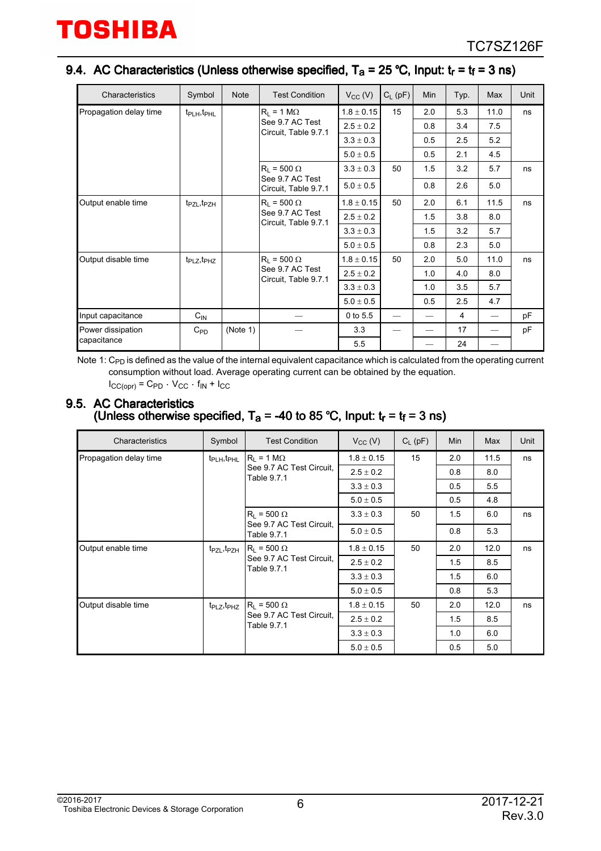## 9.4. AC Characteristics (Unless otherwise specified,  $T_a$  = 25 °C, Input:  $t_r$  =  $t_f$  = 3 ns)

| Characteristics        | Symbol                              | <b>Note</b> | <b>Test Condition</b>                   | $V_{CC}$ (V)   | $C_L$ (pF)               | Min                                     | Typ.        | Max  | Unit |     |     |  |
|------------------------|-------------------------------------|-------------|-----------------------------------------|----------------|--------------------------|-----------------------------------------|-------------|------|------|-----|-----|--|
| Propagation delay time | $t_{\text{PLH}}$ , $t_{\text{PHL}}$ |             | $R_1 = 1 M\Omega$                       | $1.8 \pm 0.15$ | 15                       | 2.0                                     | 5.3         | 11.0 | ns   |     |     |  |
|                        |                                     |             | See 9.7 AC Test                         | $2.5 \pm 0.2$  |                          | 0.8                                     | 3.4         | 7.5  |      |     |     |  |
|                        |                                     |             | Circuit, Table 9.7.1                    | $3.3 \pm 0.3$  |                          | 0.5                                     | 2.5         | 5.2  |      |     |     |  |
|                        |                                     |             |                                         | $5.0 \pm 0.5$  |                          | 0.5                                     | 2.1         | 4.5  |      |     |     |  |
|                        |                                     |             | $R_1 = 500 \Omega$                      | $3.3 \pm 0.3$  | 50                       | 1.5                                     | 3.2         | 5.7  | ns   |     |     |  |
|                        |                                     |             | See 9.7 AC Test<br>Circuit, Table 9.7.1 | $5.0 \pm 0.5$  |                          | 0.8                                     | 2.6         | 5.0  |      |     |     |  |
| Output enable time     | t <sub>PZL</sub> , t <sub>PZH</sub> |             | $R_L$ = 500 $\Omega$                    | $1.8 \pm 0.15$ | 50                       | 2.0                                     | 6.1         | 11.5 | ns   |     |     |  |
|                        |                                     |             |                                         |                |                          | See 9.7 AC Test<br>Circuit, Table 9.7.1 | $2.5\pm0.2$ |      | 1.5  | 3.8 | 8.0 |  |
|                        |                                     |             |                                         | $3.3\pm0.3$    |                          | 1.5                                     | 3.2         | 5.7  |      |     |     |  |
|                        |                                     |             |                                         | $5.0 \pm 0.5$  |                          | 0.8                                     | 2.3         | 5.0  |      |     |     |  |
| Output disable time    | $t_{\text{PLZ}}, t_{\text{PHZ}}$    |             | $R_1 = 500 \Omega$                      | $1.8 \pm 0.15$ | 50                       | 2.0                                     | 5.0         | 11.0 | ns   |     |     |  |
|                        |                                     |             | See 9.7 AC Test<br>Circuit, Table 9.7.1 | $2.5 \pm 0.2$  |                          | 1.0                                     | 4.0         | 8.0  |      |     |     |  |
|                        |                                     |             |                                         | $3.3 \pm 0.3$  |                          | 1.0                                     | 3.5         | 5.7  |      |     |     |  |
|                        |                                     |             |                                         | $5.0\pm0.5$    |                          | 0.5                                     | 2.5         | 4.7  |      |     |     |  |
| Input capacitance      | $C_{IN}$                            |             |                                         | 0 to 5.5       | $\overline{\phantom{0}}$ |                                         | 4           |      | pF   |     |     |  |
| Power dissipation      | $C_{PD}$                            | (Note 1)    |                                         | 3.3            |                          |                                         | 17          |      | pF   |     |     |  |
| capacitance            |                                     |             |                                         | 5.5            |                          |                                         | 24          |      |      |     |     |  |

Note 1:  $\rm C_{PD}$  is defined as the value of the internal equivalent capacitance which is calculated from the operating current consumption without load. Average operating current can be obtained by the equation.  $I_{CC(ODr)} = C_{PD} \cdot V_{CC} \cdot f_{IN} + I_{CC}$ 

#### 9.5. AC Characteristics (Unless otherwise specified,  $T_a$  = -40 to 85 °C, Input:  $t_r$  =  $t_f$  = 3 ns)

| Characteristics        | Symbol                              | <b>Test Condition</b>                           | $V_{CC} (V)$   | $C_{L}$ (pF) | Min | Max  | Unit |
|------------------------|-------------------------------------|-------------------------------------------------|----------------|--------------|-----|------|------|
| Propagation delay time | t <sub>PLH</sub> , t <sub>PHL</sub> | $ R_1 = 1 M\Omega$                              | $1.8 \pm 0.15$ | 15           | 2.0 | 11.5 | ns   |
|                        |                                     | See 9.7 AC Test Circuit.<br>Table 9.7.1         | $2.5 \pm 0.2$  |              | 0.8 | 8.0  |      |
|                        |                                     |                                                 | $3.3 \pm 0.3$  |              | 0.5 | 5.5  |      |
|                        |                                     |                                                 | $5.0 \pm 0.5$  |              | 0.5 | 4.8  |      |
|                        | $R_1 = 500 \Omega$                  | $3.3 \pm 0.3$                                   | 50             | 1.5          | 6.0 | ns   |      |
|                        |                                     | See 9.7 AC Test Circuit.<br>Table 9.7.1         | $5.0 \pm 0.5$  |              | 0.8 | 5.3  |      |
| Output enable time     | t <sub>PZL</sub> , t <sub>PZH</sub> | $ R_1 = 500 \Omega$<br>See 9.7 AC Test Circuit. | $1.8 \pm 0.15$ | 50           | 2.0 | 12.0 | ns   |
|                        |                                     |                                                 | $2.5 \pm 0.2$  |              | 1.5 | 8.5  |      |
|                        |                                     | Table 9.7.1                                     | $3.3 \pm 0.3$  |              | 1.5 | 6.0  |      |
|                        |                                     |                                                 | $5.0 \pm 0.5$  |              | 0.8 | 5.3  |      |
| Output disable time    | $t_{\text{PLZ}}, t_{\text{PHZ}}$    | $ R_1 = 500 \Omega$                             | $1.8 \pm 0.15$ | 50           | 2.0 | 12.0 | ns   |
|                        |                                     | See 9.7 AC Test Circuit.<br>Table 9.7.1         | $2.5 \pm 0.2$  |              | 1.5 | 8.5  |      |
|                        |                                     |                                                 | $3.3 \pm 0.3$  |              | 1.0 | 6.0  |      |
|                        |                                     |                                                 | $5.0 \pm 0.5$  |              | 0.5 | 5.0  |      |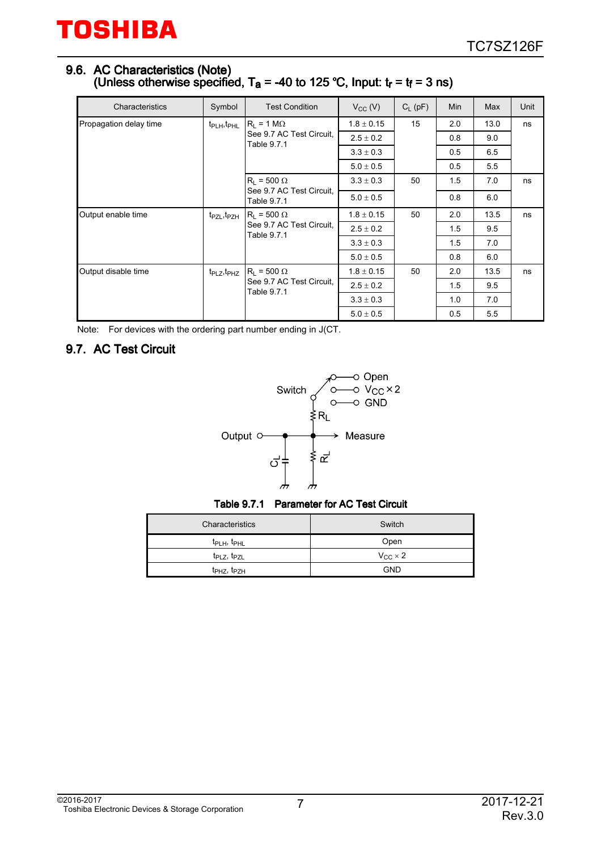#### 9.6. AC Characteristics (Note) (Unless otherwise specified, T<sub>a</sub> = -40 to 125 °C, Input:  $t_r$  =  $t_f$  = 3 ns)

| Characteristics        | Symbol                              | <b>Test Condition</b>                                         | $V_{CC} (V)$   | $C_L$ (pF) | Min | Max  | Unit |
|------------------------|-------------------------------------|---------------------------------------------------------------|----------------|------------|-----|------|------|
| Propagation delay time | t <sub>PLH</sub> , t <sub>PHL</sub> | $R_1 = 1 M\Omega$                                             | $1.8 \pm 0.15$ | 15         | 2.0 | 13.0 | ns   |
|                        |                                     | See 9.7 AC Test Circuit.<br>Table 9.7.1                       | $2.5 \pm 0.2$  |            | 0.8 | 9.0  |      |
|                        |                                     |                                                               | $3.3 \pm 0.3$  |            | 0.5 | 6.5  |      |
|                        |                                     |                                                               | $5.0 \pm 0.5$  |            | 0.5 | 5.5  |      |
|                        |                                     | $R_1 = 500 \Omega$                                            | $3.3 \pm 0.3$  | 50         | 1.5 | 7.0  | ns   |
|                        |                                     | See 9.7 AC Test Circuit.<br>Table 9.7.1                       | $5.0 \pm 0.5$  |            | 0.8 | 6.0  |      |
| Output enable time     | t <sub>PZL</sub> , t <sub>PZH</sub> | $R_1 = 500 \Omega$<br>See 9.7 AC Test Circuit.<br>Table 9.7.1 | $1.8 \pm 0.15$ | 50         | 2.0 | 13.5 | ns   |
|                        |                                     |                                                               | $2.5 \pm 0.2$  |            | 1.5 | 9.5  |      |
|                        |                                     |                                                               | $3.3 \pm 0.3$  |            | 1.5 | 7.0  |      |
|                        |                                     |                                                               | $5.0 \pm 0.5$  |            | 0.8 | 6.0  |      |
| Output disable time    | $t_{\sf PLZ}, t_{\sf PHZ}$          | $R_1 = 500 \Omega$                                            | $1.8 \pm 0.15$ | 50         | 2.0 | 13.5 | ns   |
|                        | Table 9.7.1                         | See 9.7 AC Test Circuit.                                      | $2.5 \pm 0.2$  |            | 1.5 | 9.5  |      |
|                        |                                     |                                                               | $3.3 \pm 0.3$  |            | 1.0 | 7.0  |      |
|                        |                                     |                                                               | $5.0 \pm 0.5$  |            | 0.5 | 5.5  |      |

Note: For devices with the ordering part number ending in J(CT.

## 9.7. AC Test Circuit



Table 9.7.1 Parameter for AC Test Circuit

| Characteristics                     | Switch              |
|-------------------------------------|---------------------|
| $t_{\text{PLH}}$ , $t_{\text{PHL}}$ | Open                |
| $t_{PLZ}$ , $t_{PZL}$               | $V_{CC}$ $\times$ 2 |
| t <sub>PHZ</sub> , t <sub>PZH</sub> | <b>GND</b>          |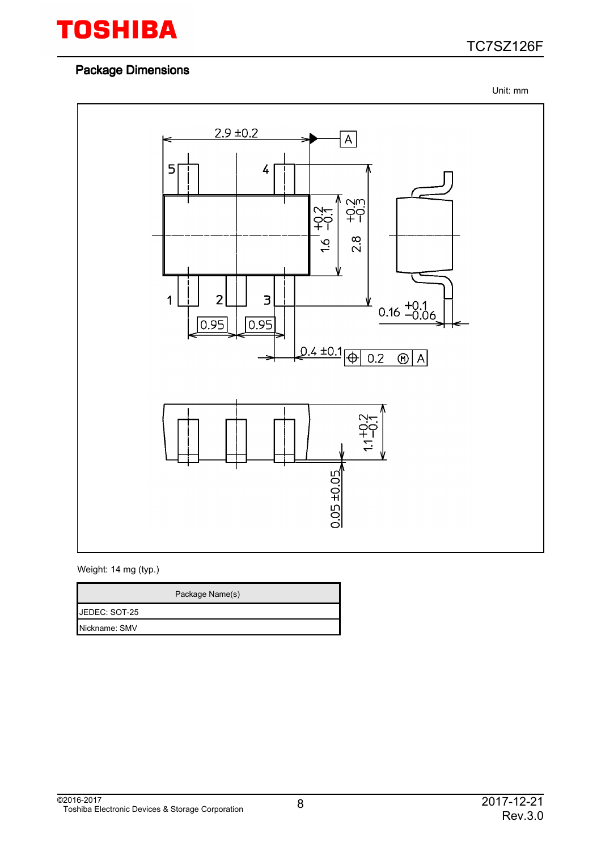

#### Package Dimensions

Unit: mm



#### Weight: 14 mg (typ.)

|               | Package Name(s) |
|---------------|-----------------|
| JEDEC: SOT-25 |                 |
| Nickname: SMV |                 |